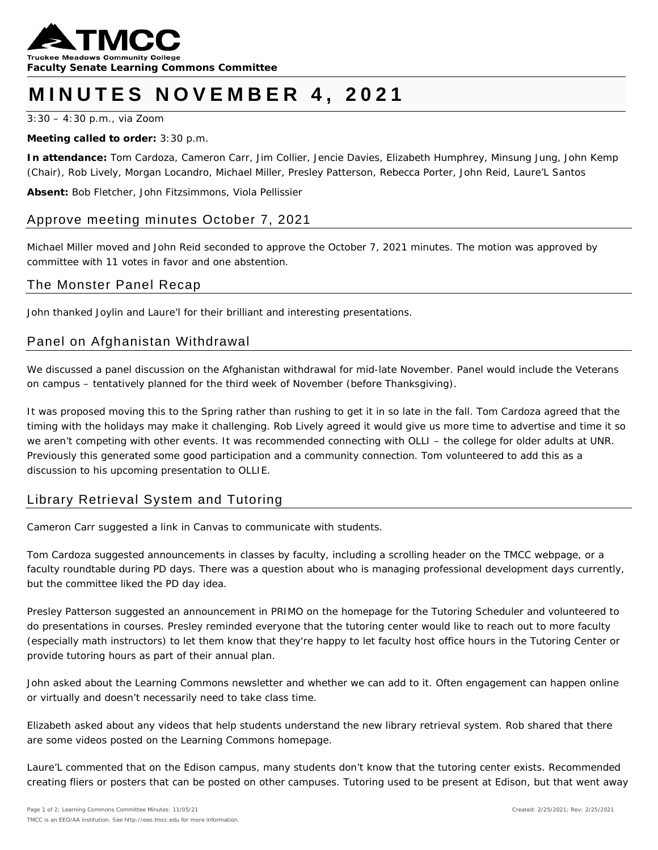

# **MINUTES NOVEMBER 4 , 2021**

3:30 – 4:30 p.m., via Zoom

#### **Meeting called to order:** 3:30 p.m.

**In attendance:** Tom Cardoza, Cameron Carr, Jim Collier, Jencie Davies, Elizabeth Humphrey, Minsung Jung, John Kemp (Chair), Rob Lively, Morgan Locandro, Michael Miller, Presley Patterson, Rebecca Porter, John Reid, Laure'L Santos

**Absent:** Bob Fletcher, John Fitzsimmons, Viola Pellissier

## Approve meeting minutes October 7, 2021

Michael Miller moved and John Reid seconded to approve the October 7, 2021 minutes. The motion was approved by committee with 11 votes in favor and one abstention.

#### The Monster Panel Recap

John thanked Joylin and Laure'l for their brilliant and interesting presentations.

## Panel on Afghanistan Withdrawal

We discussed a panel discussion on the Afghanistan withdrawal for mid-late November. Panel would include the Veterans on campus – tentatively planned for the third week of November (before Thanksgiving).

It was proposed moving this to the Spring rather than rushing to get it in so late in the fall. Tom Cardoza agreed that the timing with the holidays may make it challenging. Rob Lively agreed it would give us more time to advertise and time it so we aren't competing with other events. It was recommended connecting with OLLI – the college for older adults at UNR. Previously this generated some good participation and a community connection. Tom volunteered to add this as a discussion to his upcoming presentation to OLLIE.

## Library Retrieval System and Tutoring

Cameron Carr suggested a link in Canvas to communicate with students.

Tom Cardoza suggested announcements in classes by faculty, including a scrolling header on the TMCC webpage, or a faculty roundtable during PD days. There was a question about who is managing professional development days currently, but the committee liked the PD day idea.

Presley Patterson suggested an announcement in PRIMO on the homepage for the Tutoring Scheduler and volunteered to do presentations in courses. Presley reminded everyone that the tutoring center would like to reach out to more faculty (especially math instructors) to let them know that they're happy to let faculty host office hours in the Tutoring Center or provide tutoring hours as part of their annual plan.

John asked about the Learning Commons newsletter and whether we can add to it. Often engagement can happen online or virtually and doesn't necessarily need to take class time.

Elizabeth asked about any videos that help students understand the new library retrieval system. Rob shared that there are some videos posted on the Learning Commons homepage.

Laure'L commented that on the Edison campus, many students don't know that the tutoring center exists. Recommended creating fliers or posters that can be posted on other campuses. Tutoring used to be present at Edison, but that went away